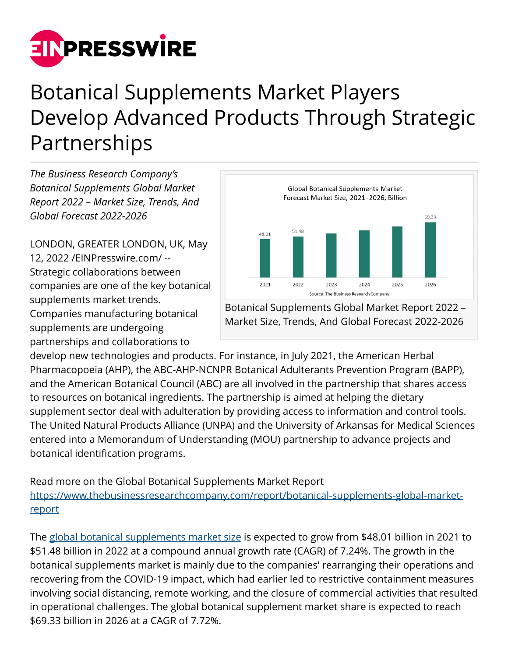

## Botanical Supplements Market Players Develop Advanced Products Through Strategic Partnerships

*The Business Research Company's Botanical Supplements Global Market Report 2022 – Market Size, Trends, And Global Forecast 2022-2026*

LONDON, GREATER LONDON, UK, May 12, 2022 /[EINPresswire.com/](http://www.einpresswire.com) -- Strategic collaborations between companies are one of the key botanical supplements market trends. Companies manufacturing botanical supplements are undergoing partnerships and collaborations to



Botanical Supplements Global Market Report 2022 – Market Size, Trends, And Global Forecast 2022-2026

develop new technologies and products. For instance, in July 2021, the American Herbal Pharmacopoeia (AHP), the ABC-AHP-NCNPR Botanical Adulterants Prevention Program (BAPP), and the American Botanical Council (ABC) are all involved in the partnership that shares access to resources on botanical ingredients. The partnership is aimed at helping the dietary supplement sector deal with adulteration by providing access to information and control tools. The United Natural Products Alliance (UNPA) and the University of Arkansas for Medical Sciences entered into a Memorandum of Understanding (MOU) partnership to advance projects and botanical identification programs.

Read more on the Global Botanical Supplements Market Report [https://www.thebusinessresearchcompany.com/report/botanical-supplements-global-market](https://www.thebusinessresearchcompany.com/report/botanical-supplements-global-market-report)[report](https://www.thebusinessresearchcompany.com/report/botanical-supplements-global-market-report)

The [global botanical supplements market size](https://www.thebusinessresearchcompany.com/report/botanical-supplements-global-market-report) is expected to grow from \$48.01 billion in 2021 to \$51.48 billion in 2022 at a compound annual growth rate (CAGR) of 7.24%. The growth in the botanical supplements market is mainly due to the companies' rearranging their operations and recovering from the COVID-19 impact, which had earlier led to restrictive containment measures involving social distancing, remote working, and the closure of commercial activities that resulted in operational challenges. The global botanical supplement market share is expected to reach \$69.33 billion in 2026 at a CAGR of 7.72%.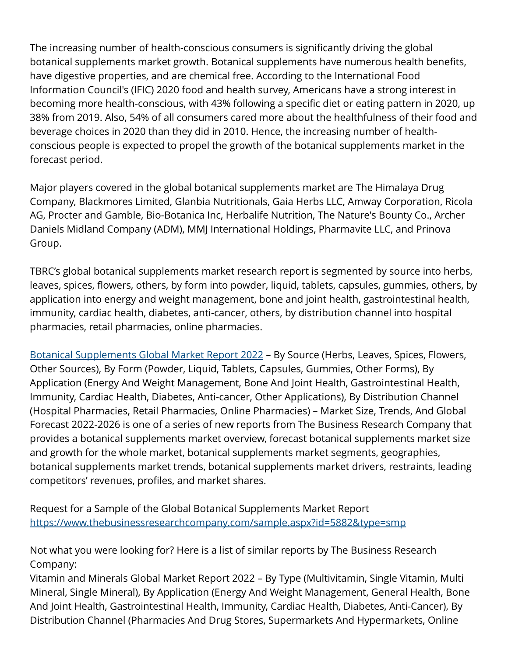The increasing number of health-conscious consumers is significantly driving the global botanical supplements market growth. Botanical supplements have numerous health benefits, have digestive properties, and are chemical free. According to the International Food Information Council's (IFIC) 2020 food and health survey, Americans have a strong interest in becoming more health-conscious, with 43% following a specific diet or eating pattern in 2020, up 38% from 2019. Also, 54% of all consumers cared more about the healthfulness of their food and beverage choices in 2020 than they did in 2010. Hence, the increasing number of healthconscious people is expected to propel the growth of the botanical supplements market in the forecast period.

Major players covered in the global botanical supplements market are The Himalaya Drug Company, Blackmores Limited, Glanbia Nutritionals, Gaia Herbs LLC, Amway Corporation, Ricola AG, Procter and Gamble, Bio-Botanica Inc, Herbalife Nutrition, The Nature's Bounty Co., Archer Daniels Midland Company (ADM), MMJ International Holdings, Pharmavite LLC, and Prinova Group.

TBRC's global botanical supplements market research report is segmented by source into herbs, leaves, spices, flowers, others, by form into powder, liquid, tablets, capsules, gummies, others, by application into energy and weight management, bone and joint health, gastrointestinal health, immunity, cardiac health, diabetes, anti-cancer, others, by distribution channel into hospital pharmacies, retail pharmacies, online pharmacies.

[Botanical Supplements Global Market Report 2022](https://www.thebusinessresearchcompany.com/report/botanical-supplements-global-market-report) – By Source (Herbs, Leaves, Spices, Flowers, Other Sources), By Form (Powder, Liquid, Tablets, Capsules, Gummies, Other Forms), By Application (Energy And Weight Management, Bone And Joint Health, Gastrointestinal Health, Immunity, Cardiac Health, Diabetes, Anti-cancer, Other Applications), By Distribution Channel (Hospital Pharmacies, Retail Pharmacies, Online Pharmacies) – Market Size, Trends, And Global Forecast 2022-2026 is one of a series of new reports from The Business Research Company that provides a botanical supplements market overview, forecast botanical supplements market size and growth for the whole market, botanical supplements market segments, geographies, botanical supplements market trends, botanical supplements market drivers, restraints, leading competitors' revenues, profiles, and market shares.

Request for a Sample of the Global Botanical Supplements Market Report <https://www.thebusinessresearchcompany.com/sample.aspx?id=5882&type=smp>

Not what you were looking for? Here is a list of similar reports by The Business Research Company:

Vitamin and Minerals Global Market Report 2022 – By Type (Multivitamin, Single Vitamin, Multi Mineral, Single Mineral), By Application (Energy And Weight Management, General Health, Bone And Joint Health, Gastrointestinal Health, Immunity, Cardiac Health, Diabetes, Anti-Cancer), By Distribution Channel (Pharmacies And Drug Stores, Supermarkets And Hypermarkets, Online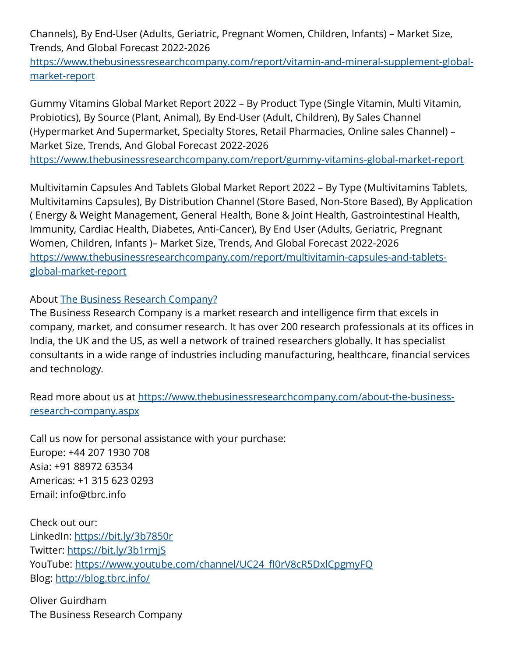Channels), By End-User (Adults, Geriatric, Pregnant Women, Children, Infants) – Market Size, Trends, And Global Forecast 2022-2026

[https://www.thebusinessresearchcompany.com/report/vitamin-and-mineral-supplement-global](https://www.thebusinessresearchcompany.com/report/vitamin-and-mineral-supplement-global-market-report)[market-report](https://www.thebusinessresearchcompany.com/report/vitamin-and-mineral-supplement-global-market-report)

Gummy Vitamins Global Market Report 2022 – By Product Type (Single Vitamin, Multi Vitamin, Probiotics), By Source (Plant, Animal), By End-User (Adult, Children), By Sales Channel (Hypermarket And Supermarket, Specialty Stores, Retail Pharmacies, Online sales Channel) – Market Size, Trends, And Global Forecast 2022-2026

<https://www.thebusinessresearchcompany.com/report/gummy-vitamins-global-market-report>

Multivitamin Capsules And Tablets Global Market Report 2022 – By Type (Multivitamins Tablets, Multivitamins Capsules), By Distribution Channel (Store Based, Non-Store Based), By Application ( Energy & Weight Management, General Health, Bone & Joint Health, Gastrointestinal Health, Immunity, Cardiac Health, Diabetes, Anti-Cancer), By End User (Adults, Geriatric, Pregnant Women, Children, Infants )– Market Size, Trends, And Global Forecast 2022-2026 [https://www.thebusinessresearchcompany.com/report/multivitamin-capsules-and-tablets](https://www.thebusinessresearchcompany.com/report/multivitamin-capsules-and-tablets-global-market-report)[global-market-report](https://www.thebusinessresearchcompany.com/report/multivitamin-capsules-and-tablets-global-market-report)

About [The Business Research Company?](https://www.thebusinessresearchcompany.com/)

The Business Research Company is a market research and intelligence firm that excels in company, market, and consumer research. It has over 200 research professionals at its offices in India, the UK and the US, as well a network of trained researchers globally. It has specialist consultants in a wide range of industries including manufacturing, healthcare, financial services and technology.

Read more about us at [https://www.thebusinessresearchcompany.com/about-the-business](https://www.thebusinessresearchcompany.com/about-the-business-research-company.aspx)[research-company.aspx](https://www.thebusinessresearchcompany.com/about-the-business-research-company.aspx)

Call us now for personal assistance with your purchase: Europe: +44 207 1930 708 Asia: +91 88972 63534 Americas: +1 315 623 0293 Email: info@tbrc.info

Check out our: LinkedIn: <https://bit.ly/3b7850r> Twitter:<https://bit.ly/3b1rmjS> YouTube: https://www.youtube.com/channel/UC24\_fl0rV8cR5DxlCpgmyFQ Blog: <http://blog.tbrc.info/>

Oliver Guirdham The Business Research Company